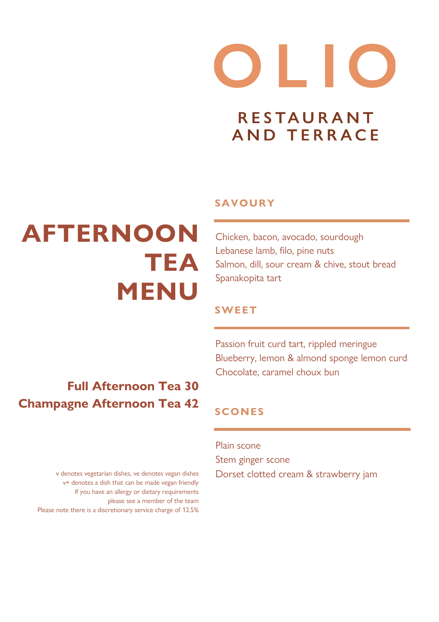# $\bullet$   $\bullet$   $\bullet$ **RESTAURANT AND TERRACE**

### **AFTERNOON TEA MENU**

#### **SAVOURY**

Chicken, bacon, avocado, sourdough Lebanese lamb, filo, pine nuts Salmon, dill, sour cream & chive, stout bread Spanakopita tart

#### **SWEET**

**Full Afternoon Tea 30 Champagne Afternoon Tea 42**

Passion fruit curd tart, rippled meringue Blueberry, lemon & almond sponge lemon curd Chocolate, caramel choux bun

### **SCONES**

Plain scone Stem ginger scone Dorset clotted cream & strawberry jam

v denotes vegetarian dishes, ve denotes vegan dishes v+ denotes a dish that can be made vegan friendly If you have an allergy or dietary requirements please see a member of the team Please note there is a discretionary service charge of 12.5%